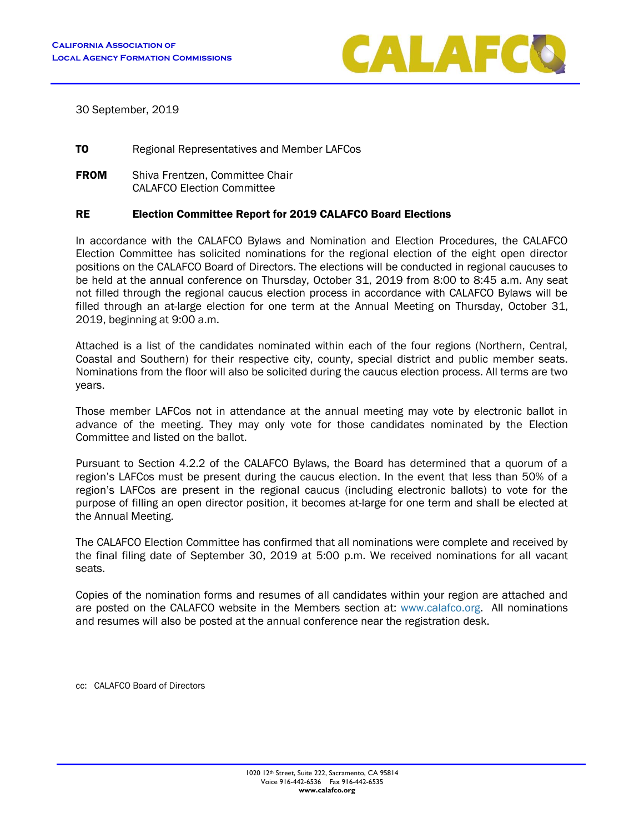

30 September, 2019

**TO** Regional Representatives and Member LAFCos

**FROM** Shiva Frentzen, Committee Chair CALAFCO Election Committee

## RE Election Committee Report for 2019 CALAFCO Board Elections

In accordance with the CALAFCO Bylaws and Nomination and Election Procedures, the CALAFCO Election Committee has solicited nominations for the regional election of the eight open director positions on the CALAFCO Board of Directors. The elections will be conducted in regional caucuses to be held at the annual conference on Thursday, October 31, 2019 from 8:00 to 8:45 a.m. Any seat not filled through the regional caucus election process in accordance with CALAFCO Bylaws will be filled through an at-large election for one term at the Annual Meeting on Thursday, October 31, 2019, beginning at 9:00 a.m.

Attached is a list of the candidates nominated within each of the four regions (Northern, Central, Coastal and Southern) for their respective city, county, special district and public member seats. Nominations from the floor will also be solicited during the caucus election process. All terms are two years.

Those member LAFCos not in attendance at the annual meeting may vote by electronic ballot in advance of the meeting. They may only vote for those candidates nominated by the Election Committee and listed on the ballot.

Pursuant to Section 4.2.2 of the CALAFCO Bylaws, the Board has determined that a quorum of a region's LAFCos must be present during the caucus election. In the event that less than 50% of a region's LAFCos are present in the regional caucus (including electronic ballots) to vote for the purpose of filling an open director position, it becomes at-large for one term and shall be elected at the Annual Meeting.

The CALAFCO Election Committee has confirmed that all nominations were complete and received by the final filing date of September 30, 2019 at 5:00 p.m. We received nominations for all vacant seats.

Copies of the nomination forms and resumes of all candidates within your region are attached and are posted on the CALAFCO website in the Members section at: [www.calafco.org.](../../../../../AppData/Local/Microsoft/www.calafco.org) All nominations and resumes will also be posted at the annual conference near the registration desk.

cc: CALAFCO Board of Directors